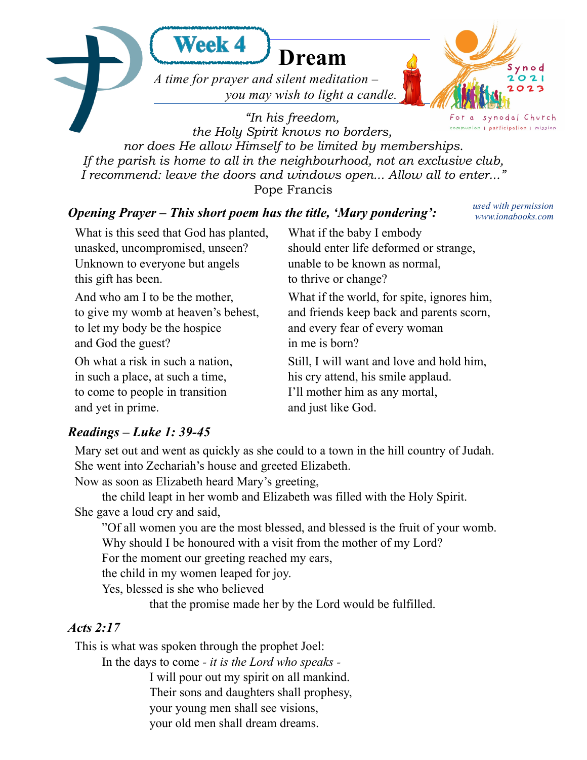

 $021$ 023 nodal Church

ynod

*"In his freedom,*  communion | participation | mission *the Holy Spirit knows no borders, nor does He allow Himself to be limited by memberships. If the parish is home to all in the neighbourhood, not an exclusive club, I recommend: leave the doors and windows open... Allow all to enter..."* Pope Francis

#### *Opening Prayer – This short poem has the title, 'Mary pondering':*

*used with permission www.ionabooks.com*

What is this seed that God has planted, unasked, uncompromised, unseen? Unknown to everyone but angels this gift has been.

And who am I to be the mother, to give my womb at heaven's behest, to let my body be the hospice and God the guest?

Oh what a risk in such a nation, in such a place, at such a time, to come to people in transition and yet in prime.

What if the baby I embody should enter life deformed or strange, unable to be known as normal, to thrive or change?

What if the world, for spite, ignores him, and friends keep back and parents scorn, and every fear of every woman in me is born?

Still, I will want and love and hold him, his cry attend, his smile applaud. I'll mother him as any mortal, and just like God.

## *Readings – Luke 1: 39-45*

Mary set out and went as quickly as she could to a town in the hill country of Judah. She went into Zechariah's house and greeted Elizabeth.

Now as soon as Elizabeth heard Mary's greeting,

the child leapt in her womb and Elizabeth was filled with the Holy Spirit. She gave a loud cry and said,

"Of all women you are the most blessed, and blessed is the fruit of your womb.

Why should I be honoured with a visit from the mother of my Lord?

For the moment our greeting reached my ears,

the child in my women leaped for joy.

Yes, blessed is she who believed

that the promise made her by the Lord would be fulfilled.

#### *Acts 2:17*

This is what was spoken through the prophet Joel:

In the days to come *- it is the Lord who speaks -*

I will pour out my spirit on all mankind.

Their sons and daughters shall prophesy,

your young men shall see visions,

your old men shall dream dreams.